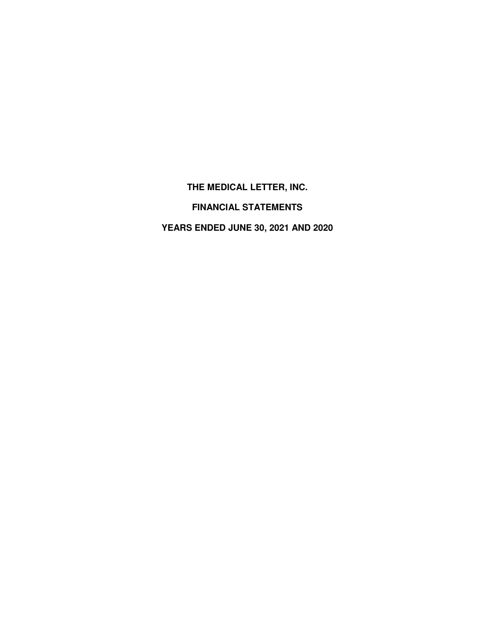**THE MEDICAL LETTER, INC.** 

**FINANCIAL STATEMENTS** 

**YEARS ENDED JUNE 30, 2021 AND 2020**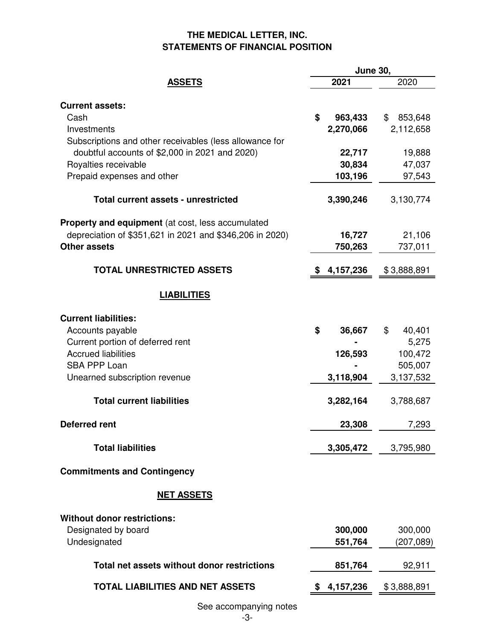## **THE MEDICAL LETTER, INC. STATEMENTS OF FINANCIAL POSITION**

|                                                          | <b>June 30,</b> |               |  |
|----------------------------------------------------------|-----------------|---------------|--|
| <b>ASSETS</b>                                            | 2021            | 2020          |  |
| <b>Current assets:</b>                                   |                 |               |  |
| Cash                                                     | \$<br>963,433   | 853,648<br>\$ |  |
| Investments                                              | 2,270,066       | 2,112,658     |  |
| Subscriptions and other receivables (less allowance for  |                 |               |  |
| doubtful accounts of \$2,000 in 2021 and 2020)           | 22,717          | 19,888        |  |
| Royalties receivable                                     | 30,834          | 47,037        |  |
| Prepaid expenses and other                               | 103,196         | 97,543        |  |
| <b>Total current assets - unrestricted</b>               | 3,390,246       | 3,130,774     |  |
| <b>Property and equipment</b> (at cost, less accumulated |                 |               |  |
| depreciation of \$351,621 in 2021 and \$346,206 in 2020) | 16,727          | 21,106        |  |
| <b>Other assets</b>                                      | 750,263         | 737,011       |  |
| <b>TOTAL UNRESTRICTED ASSETS</b>                         | 4,157,236       | \$3,888,891   |  |
|                                                          |                 |               |  |
| <b>LIABILITIES</b>                                       |                 |               |  |
| <b>Current liabilities:</b>                              |                 |               |  |
| Accounts payable                                         | \$<br>36,667    | \$<br>40,401  |  |
| Current portion of deferred rent                         |                 | 5,275         |  |
| <b>Accrued liabilities</b>                               | 126,593         | 100,472       |  |
| <b>SBA PPP Loan</b>                                      |                 | 505,007       |  |
| Unearned subscription revenue                            | 3,118,904       | 3,137,532     |  |
| <b>Total current liabilities</b>                         | 3,282,164       | 3,788,687     |  |
| Deferred rent                                            | 23,308          | 7,293         |  |
| <b>Total liabilities</b>                                 | 3,305,472       | 3,795,980     |  |
| <b>Commitments and Contingency</b>                       |                 |               |  |
| <b>NET ASSETS</b>                                        |                 |               |  |
| <b>Without donor restrictions:</b>                       |                 |               |  |
| Designated by board                                      | 300,000         | 300,000       |  |
| Undesignated                                             | 551,764         | (207, 089)    |  |
| Total net assets without donor restrictions              | 851,764         | 92,911        |  |
|                                                          |                 |               |  |
| <b>TOTAL LIABILITIES AND NET ASSETS</b>                  | 4,157,236       | \$3,888,891   |  |

See accompanying notes